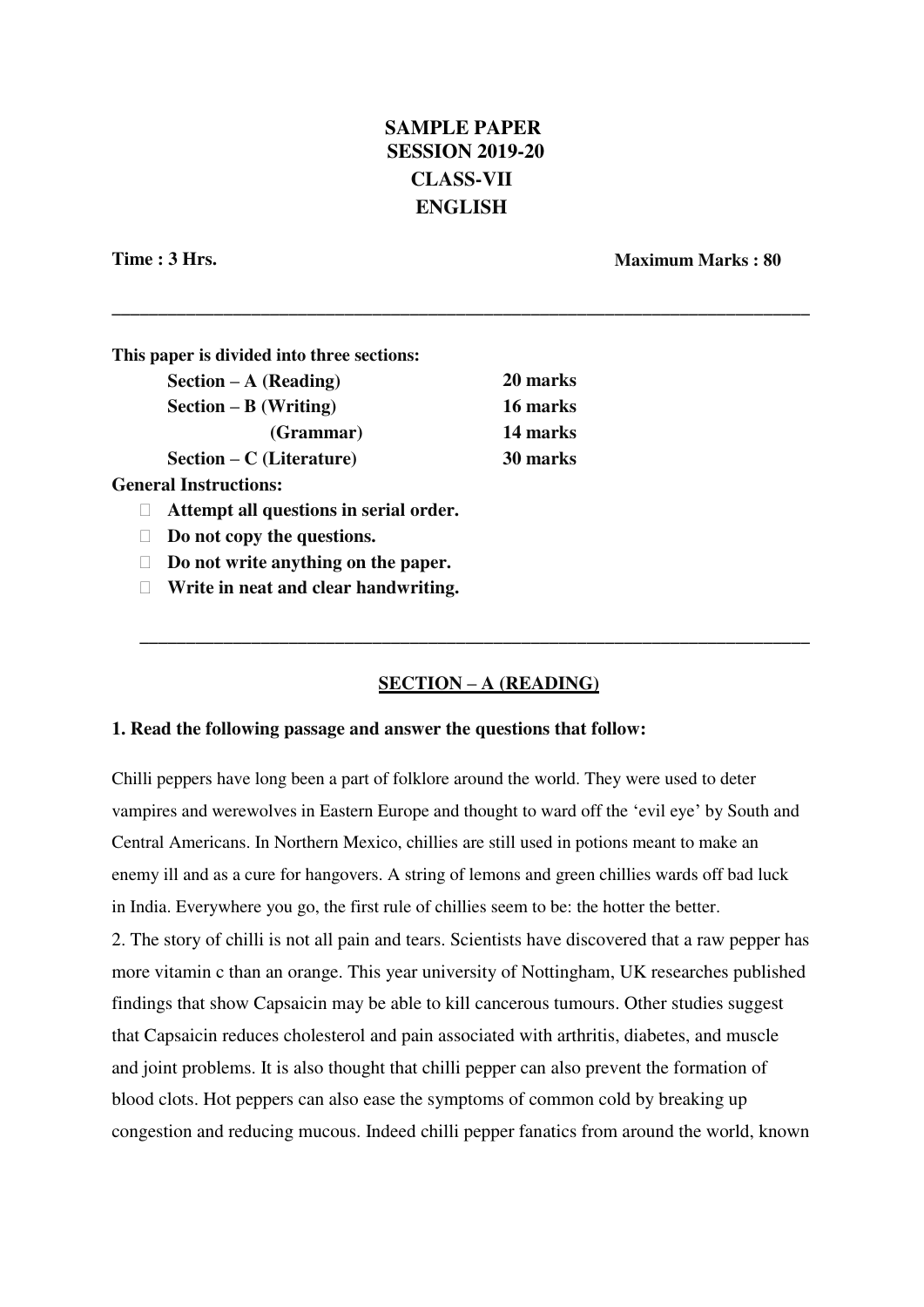# **SAMPLE PAPER SESSION 2019-20 CLASS-VII ENGLISH**

**\_\_\_\_\_\_\_\_\_\_\_\_\_\_\_\_\_\_\_\_\_\_\_\_\_\_\_\_\_\_\_\_\_\_\_\_\_\_\_\_\_\_\_\_\_\_\_\_\_\_\_\_\_\_\_\_\_\_\_\_\_\_\_\_\_\_\_\_\_\_\_\_\_\_\_**

**Time : 3 Hrs. Maximum Marks : 80**

| This paper is divided into three sections: |          |
|--------------------------------------------|----------|
| $Section - A (Reading)$                    | 20 marks |
| $Section - B (Writing)$                    | 16 marks |
| (Grammar)                                  | 14 marks |
| $Section - C$ (Literature)                 | 30 marks |
| <b>General Instructions:</b>               |          |
| Attempt all questions in serial order.     |          |

**Do not copy the questions.**

**Do not write anything on the paper.**

**Write in neat and clear handwriting.**

# **SECTION – A (READING)**

**\_\_\_\_\_\_\_\_\_\_\_\_\_\_\_\_\_\_\_\_\_\_\_\_\_\_\_\_\_\_\_\_\_\_\_\_\_\_\_\_\_\_\_\_\_\_\_\_\_\_\_\_\_\_\_\_\_\_\_\_\_\_\_\_\_\_\_\_\_\_\_\_**

#### **1. Read the following passage and answer the questions that follow:**

Chilli peppers have long been a part of folklore around the world. They were used to deter vampires and werewolves in Eastern Europe and thought to ward off the 'evil eye' by South and Central Americans. In Northern Mexico, chillies are still used in potions meant to make an enemy ill and as a cure for hangovers. A string of lemons and green chillies wards off bad luck in India. Everywhere you go, the first rule of chillies seem to be: the hotter the better.

2. The story of chilli is not all pain and tears. Scientists have discovered that a raw pepper has more vitamin c than an orange. This year university of Nottingham, UK researches published findings that show Capsaicin may be able to kill cancerous tumours. Other studies suggest that Capsaicin reduces cholesterol and pain associated with arthritis, diabetes, and muscle and joint problems. It is also thought that chilli pepper can also prevent the formation of blood clots. Hot peppers can also ease the symptoms of common cold by breaking up congestion and reducing mucous. Indeed chilli pepper fanatics from around the world, known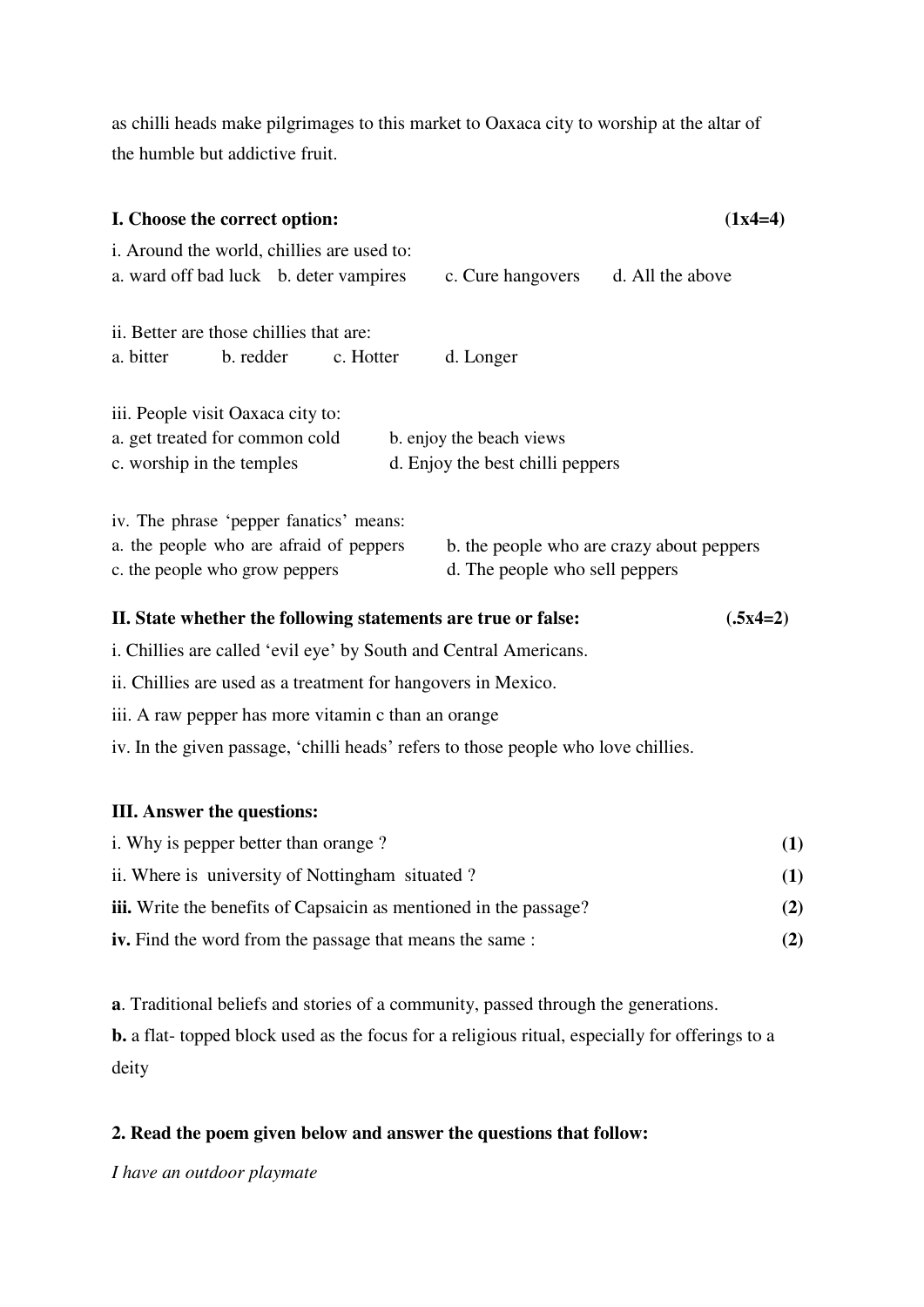as chilli heads make pilgrimages to this market to Oaxaca city to worship at the altar of the humble but addictive fruit.

| I. Choose the correct option:                                                                                        |                                                              | $(1x4=4)$                                 |
|----------------------------------------------------------------------------------------------------------------------|--------------------------------------------------------------|-------------------------------------------|
| i. Around the world, chillies are used to:<br>a. ward off bad luck b. deter vampires                                 | c. Cure hangovers                                            | d. All the above                          |
| ii. Better are those chillies that are:<br>a. bitter<br>b. redder<br>c. Hotter                                       | d. Longer                                                    |                                           |
| iii. People visit Oaxaca city to:<br>a. get treated for common cold<br>c. worship in the temples                     | b. enjoy the beach views<br>d. Enjoy the best chilli peppers |                                           |
| iv. The phrase 'pepper fanatics' means:<br>a. the people who are afraid of peppers<br>c. the people who grow peppers | d. The people who sell peppers                               | b. the people who are crazy about peppers |
| II. State whether the following statements are true or false:                                                        |                                                              | $(.5x4=2)$                                |
| i. Chillies are called 'evil eye' by South and Central Americans.                                                    |                                                              |                                           |

ii. Chillies are used as a treatment for hangovers in Mexico.

iii. A raw pepper has more vitamin c than an orange

iv. In the given passage, 'chilli heads' refers to those people who love chillies.

## **III. Answer the questions:**

| i. Why is pepper better than orange?                                     |     |
|--------------------------------------------------------------------------|-----|
| ii. Where is university of Nottingham situated?                          | (1) |
| <b>iii.</b> Write the benefits of Capsaicin as mentioned in the passage? | (2) |
| <b>iv.</b> Find the word from the passage that means the same:           | (2) |

**a**. Traditional beliefs and stories of a community, passed through the generations.

**b.** a flat- topped block used as the focus for a religious ritual, especially for offerings to a deity

# **2. Read the poem given below and answer the questions that follow:**

*I have an outdoor playmate*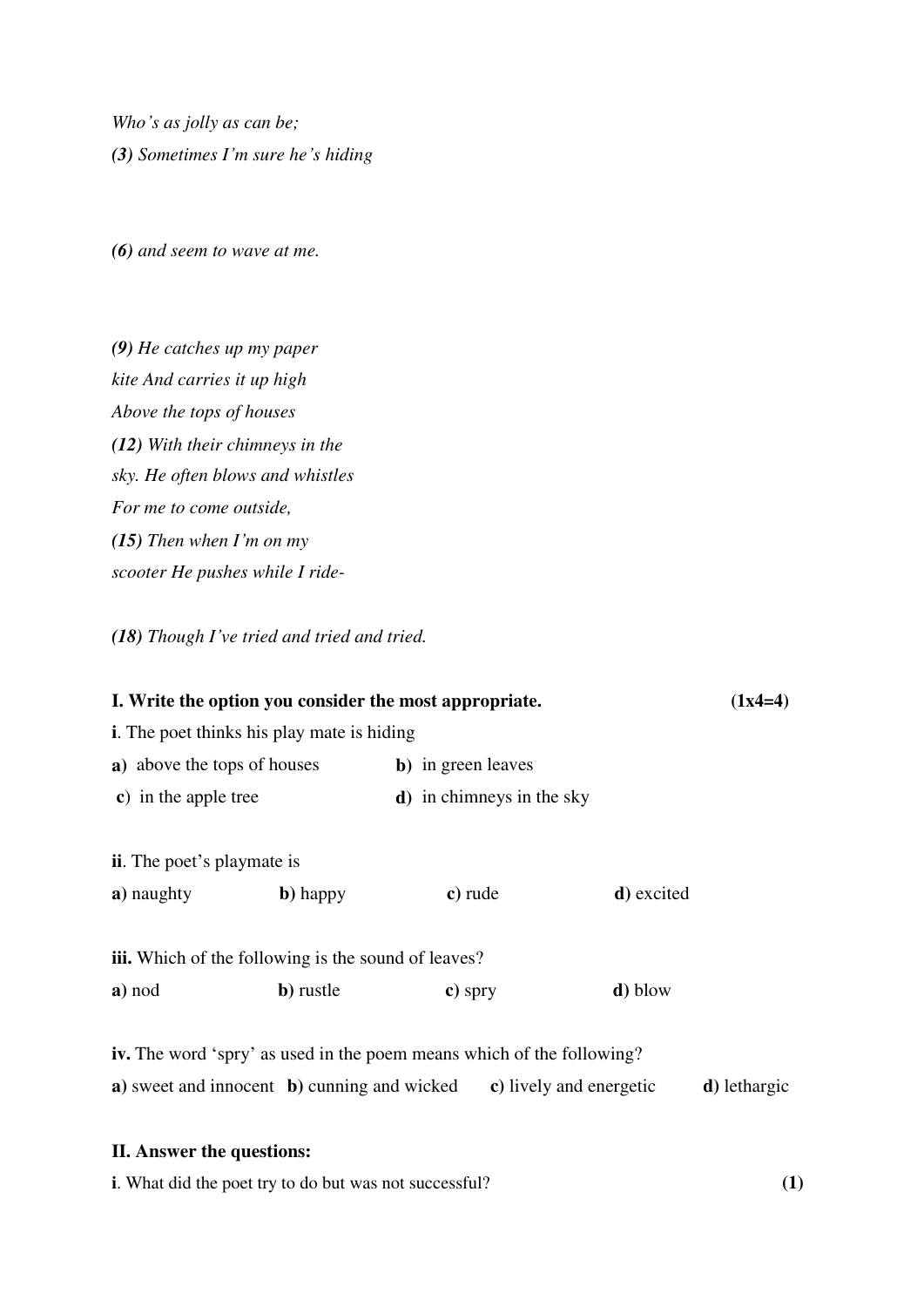*Who's as jolly as can be; (3) Sometimes I'm sure he's hiding*

*(6) and seem to wave at me.*

*(9) He catches up my paper kite And carries it up high Above the tops of houses (12) With their chimneys in the sky. He often blows and whistles For me to come outside, (15) Then when I'm on my scooter He pushes while I ride-*

*(18) Though I've tried and tried and tried.*

| I. Write the option you consider the most appropriate.                |         |                                                                 | $(1x4=4)$ |  |
|-----------------------------------------------------------------------|---------|-----------------------------------------------------------------|-----------|--|
| <b>i.</b> The poet thinks his play mate is hiding                     |         |                                                                 |           |  |
| a) above the tops of houses                                           |         |                                                                 |           |  |
|                                                                       |         |                                                                 |           |  |
|                                                                       |         |                                                                 |           |  |
| <b>ii.</b> The poet's playmate is                                     |         |                                                                 |           |  |
| $\mathbf b)$ happy                                                    | c) rude | d) excited                                                      |           |  |
|                                                                       |         |                                                                 |           |  |
| <b>iii.</b> Which of the following is the sound of leaves?            |         |                                                                 |           |  |
| b) rustle                                                             | c) spry | <b>d</b> ) blow                                                 |           |  |
|                                                                       |         |                                                                 |           |  |
| iv. The word 'spry' as used in the poem means which of the following? |         |                                                                 |           |  |
|                                                                       |         | <b>b</b> ) in green leaves<br><b>d</b> ) in chimneys in the sky |           |  |

**a)** sweet and innocent **b)** cunning and wicked **c)** lively and energetic **d)** lethargic

## **II. Answer the questions:**

**i**. What did the poet try to do but was not successful? **(1)**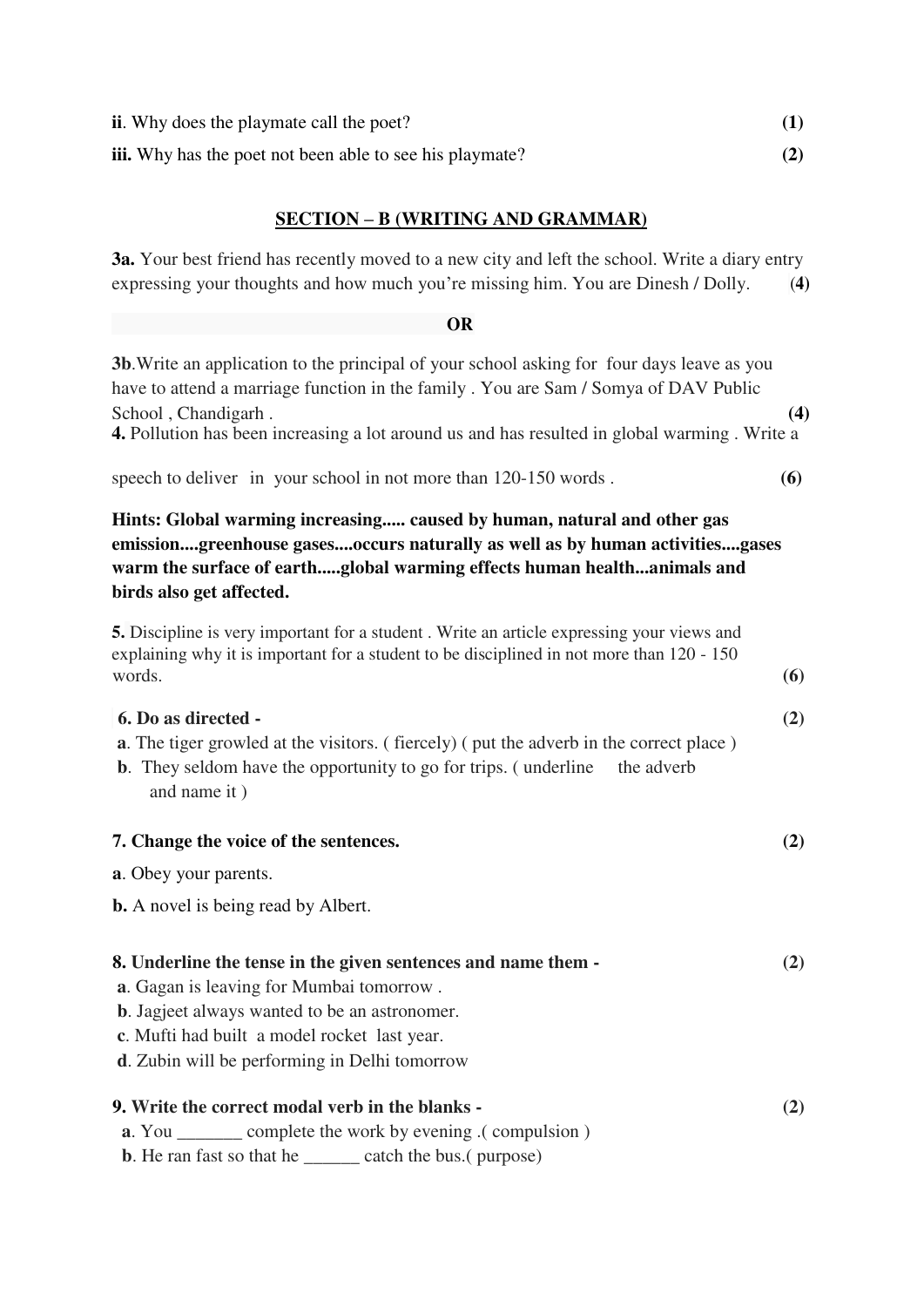| <b>ii.</b> Why does the playmate call the poet?                 |     |
|-----------------------------------------------------------------|-----|
| <b>iii.</b> Why has the poet not been able to see his playmate? | (2) |

# **SECTION – B (WRITING AND GRAMMAR)**

**3a.** Your best friend has recently moved to a new city and left the school. Write a diary entry expressing your thoughts and how much you're missing him. You are Dinesh / Dolly. (**4)**

## **OR**

| 3b. Write an application to the principal of your school asking for four days leave as you<br>have to attend a marriage function in the family . You are Sam / Somya of DAV Public                                                                                  |     |
|---------------------------------------------------------------------------------------------------------------------------------------------------------------------------------------------------------------------------------------------------------------------|-----|
| School, Chandigarh.<br>4. Pollution has been increasing a lot around us and has resulted in global warming. Write a                                                                                                                                                 | (4) |
| speech to deliver in your school in not more than 120-150 words.                                                                                                                                                                                                    | (6) |
| Hints: Global warming increasing caused by human, natural and other gas<br>emissiongreenhouse gasesoccurs naturally as well as by human activitiesgases<br>warm the surface of earthglobal warming effects human healthanimals and<br>birds also get affected.      |     |
| 5. Discipline is very important for a student. Write an article expressing your views and<br>explaining why it is important for a student to be disciplined in not more than 120 - 150<br>words.                                                                    | (6) |
| 6. Do as directed -<br><b>a.</b> The tiger growled at the visitors. (fiercely) (put the adverb in the correct place)<br><b>b</b> . They seldom have the opportunity to go for trips. (underline<br>the adverb<br>and name it)                                       | (2) |
| 7. Change the voice of the sentences.                                                                                                                                                                                                                               | (2) |
| <b>a.</b> Obey your parents.                                                                                                                                                                                                                                        |     |
| <b>b.</b> A novel is being read by Albert.                                                                                                                                                                                                                          |     |
| 8. Underline the tense in the given sentences and name them -<br>a. Gagan is leaving for Mumbai tomorrow.<br><b>b</b> . Jagjeet always wanted to be an astronomer.<br>c. Mufti had built a model rocket last year.<br>d. Zubin will be performing in Delhi tomorrow | (2) |
| 9. Write the correct modal verb in the blanks -<br><b>a.</b> You ________ complete the work by evening .( compulsion )                                                                                                                                              | (2) |

**b**. He ran fast so that he \_\_\_\_\_\_ catch the bus.( purpose)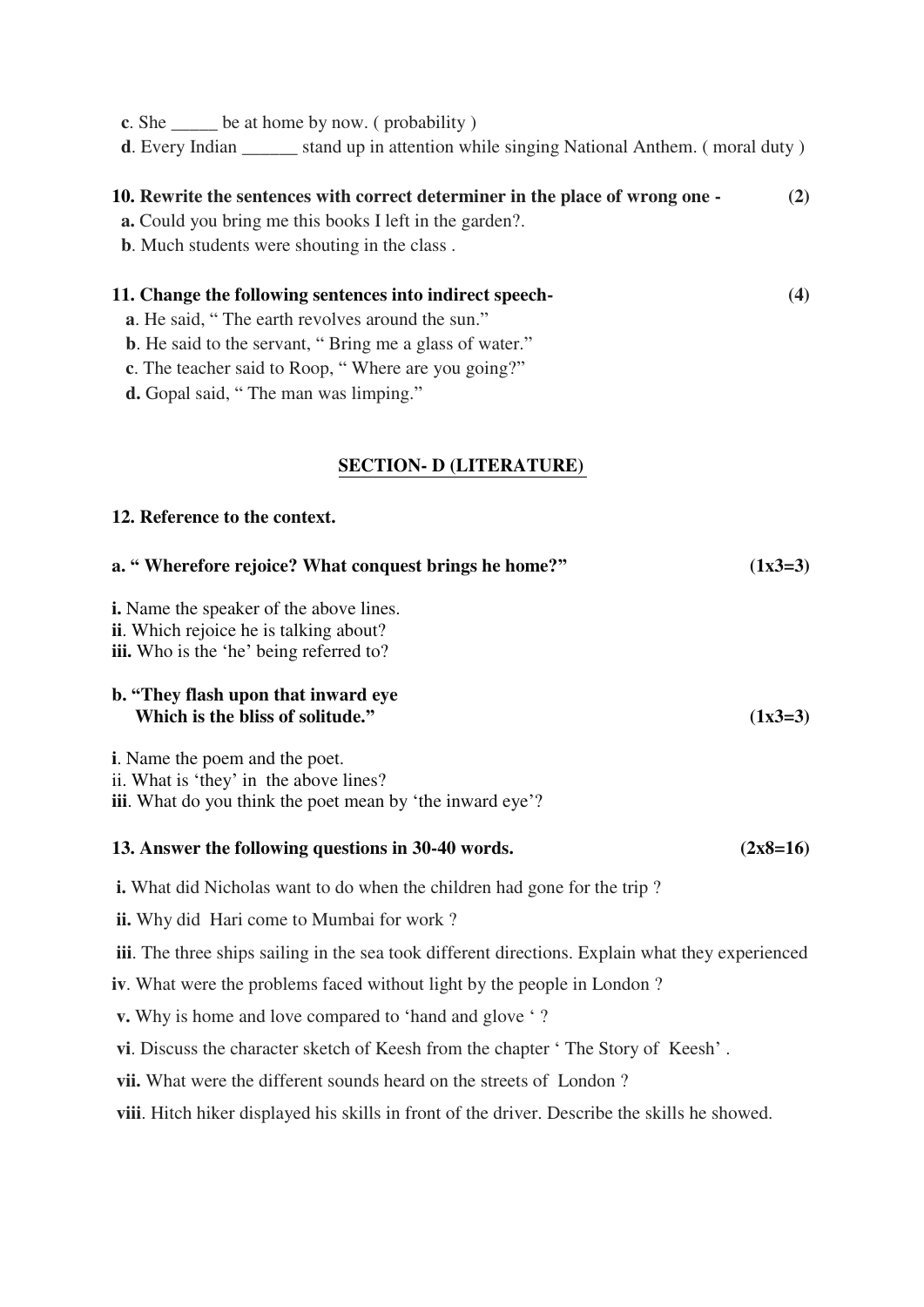**c**. She \_\_\_\_\_ be at home by now. ( probability )

**d**. Every Indian stand up in attention while singing National Anthem. (moral duty)

## **10. Rewrite the sentences with correct determiner in the place of wrong one - (2)**

**a.** Could you bring me this books I left in the garden?.

**b**. Much students were shouting in the class .

# **11. Change the following sentences into indirect speech- (4)**

- **a**. He said, " The earth revolves around the sun."
- **b**. He said to the servant, "Bring me a glass of water."
- **c**. The teacher said to Roop, " Where are you going?"

**d.** Gopal said, " The man was limping."

# **SECTION- D (LITERATURE)**

## **12. Reference to the context.**

| a. "Wherefore rejoice? What conquest brings he home?"                                                                                                | $(1x3=3)$  |
|------------------------------------------------------------------------------------------------------------------------------------------------------|------------|
| <b>i.</b> Name the speaker of the above lines.<br><b>ii.</b> Which rejoice he is talking about?<br><b>iii.</b> Who is the 'he' being referred to?    |            |
| b. "They flash upon that inward eye<br>Which is the bliss of solitude."                                                                              | $(1x3=3)$  |
| <b>i</b> . Name the poem and the poet.<br>ii. What is 'they' in the above lines?<br><b>iii.</b> What do you think the poet mean by 'the inward eye'? |            |
| 13. Answer the following questions in 30-40 words.                                                                                                   | $(2x8=16)$ |
| <b>i.</b> What did Nicholas want to do when the children had gone for the trip?                                                                      |            |
| <b>ii.</b> Why did Hari come to Mumbai for work?                                                                                                     |            |
| <b>iii.</b> The three ships sailing in the sea took different directions. Explain what they experienced                                              |            |
| iv. What were the problems faced without light by the people in London?                                                                              |            |
| <b>v.</b> Why is home and love compared to 'hand and glove '?                                                                                        |            |
| vi. Discuss the character sketch of Keesh from the chapter 'The Story of Keesh'.                                                                     |            |
| <b>vii.</b> What were the different sounds heard on the streets of London?                                                                           |            |
| viii. Hitch hiker displayed his skills in front of the driver. Describe the skills he showed.                                                        |            |
|                                                                                                                                                      |            |